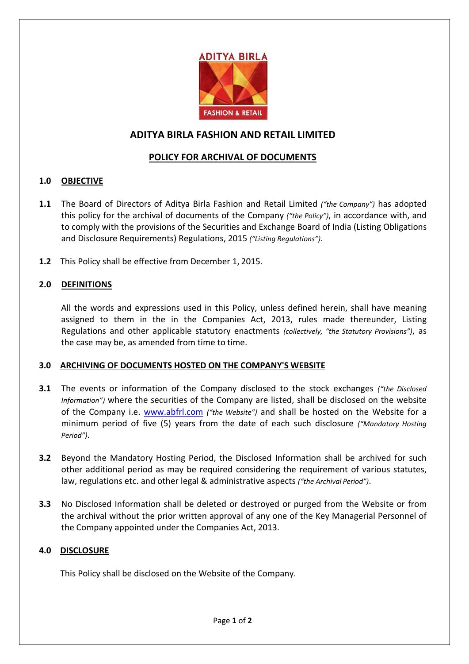

# **ADITYA BIRLA FASHION AND RETAIL LIMITED**

## **POLICY FOR ARCHIVAL OF DOCUMENTS**

## **1.0 OBJECTIVE**

- **1.1** The Board of Directors of Aditya Birla Fashion and Retail Limited *("the Company")* has adopted this policy for the archival of documents of the Company *("the Policy")*, in accordance with, and to comply with the provisions of the Securities and Exchange Board of India (Listing Obligations and Disclosure Requirements) Regulations, 2015 *("Listing Regulations")*.
- **1.2** This Policy shall be effective from December 1, 2015.

## **2.0 DEFINITIONS**

All the words and expressions used in this Policy, unless defined herein, shall have meaning assigned to them in the in the Companies Act, 2013, rules made thereunder, Listing Regulations and other applicable statutory enactments *(collectively, "the Statutory Provisions")*, as the case may be, as amended from time to time.

#### **3.0 ARCHIVING OF DOCUMENTS HOSTED ON THE COMPANY'S WEBSITE**

- **3.1** The events or information of the Company disclosed to the stock exchanges *("the Disclosed Information")* where the securities of the Company are listed, shall be disclosed on the website of the Company i.e. [www.abfrl.com](http://www.abfrl.com/) *("the Website")* and shall be hosted on the Website for a minimum period of five (5) years from the date of each such disclosure *("Mandatory Hosting Period")*.
- **3.2** Beyond the Mandatory Hosting Period, the Disclosed Information shall be archived for such other additional period as may be required considering the requirement of various statutes, law, regulations etc. and other legal & administrative aspects *("the Archival Period")*.
- **3.3** No Disclosed Information shall be deleted or destroyed or purged from the Website or from the archival without the prior written approval of any one of the Key Managerial Personnel of the Company appointed under the Companies Act, 2013.

#### **4.0 DISCLOSURE**

This Policy shall be disclosed on the Website of the Company.